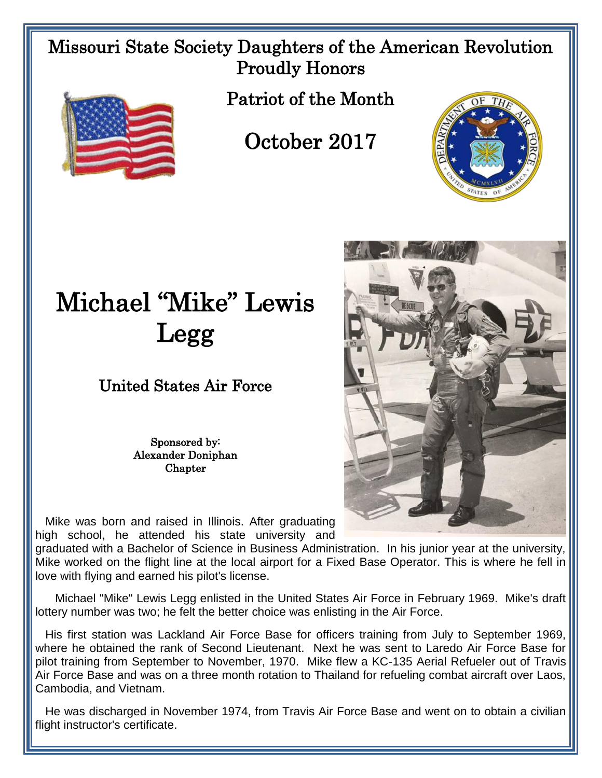Missouri State Society Daughters of the American Revolution Proudly Honors



Patriot of the Month

## October 2017





## United States Air Force

Sponsored by: Alexander Doniphan **Chapter** 

 Mike was born and raised in Illinois. After graduating high school, he attended his state university and

graduated with a Bachelor of Science in Business Administration. In his junior year at the university, Mike worked on the flight line at the local airport for a Fixed Base Operator. This is where he fell in love with flying and earned his pilot's license.

 Michael "Mike" Lewis Legg enlisted in the United States Air Force in February 1969. Mike's draft lottery number was two; he felt the better choice was enlisting in the Air Force.

 His first station was Lackland Air Force Base for officers training from July to September 1969, where he obtained the rank of Second Lieutenant. Next he was sent to Laredo Air Force Base for pilot training from September to November, 1970. Mike flew a KC-135 Aerial Refueler out of Travis Air Force Base and was on a three month rotation to Thailand for refueling combat aircraft over Laos, Cambodia, and Vietnam.

 He was discharged in November 1974, from Travis Air Force Base and went on to obtain a civilian flight instructor's certificate.